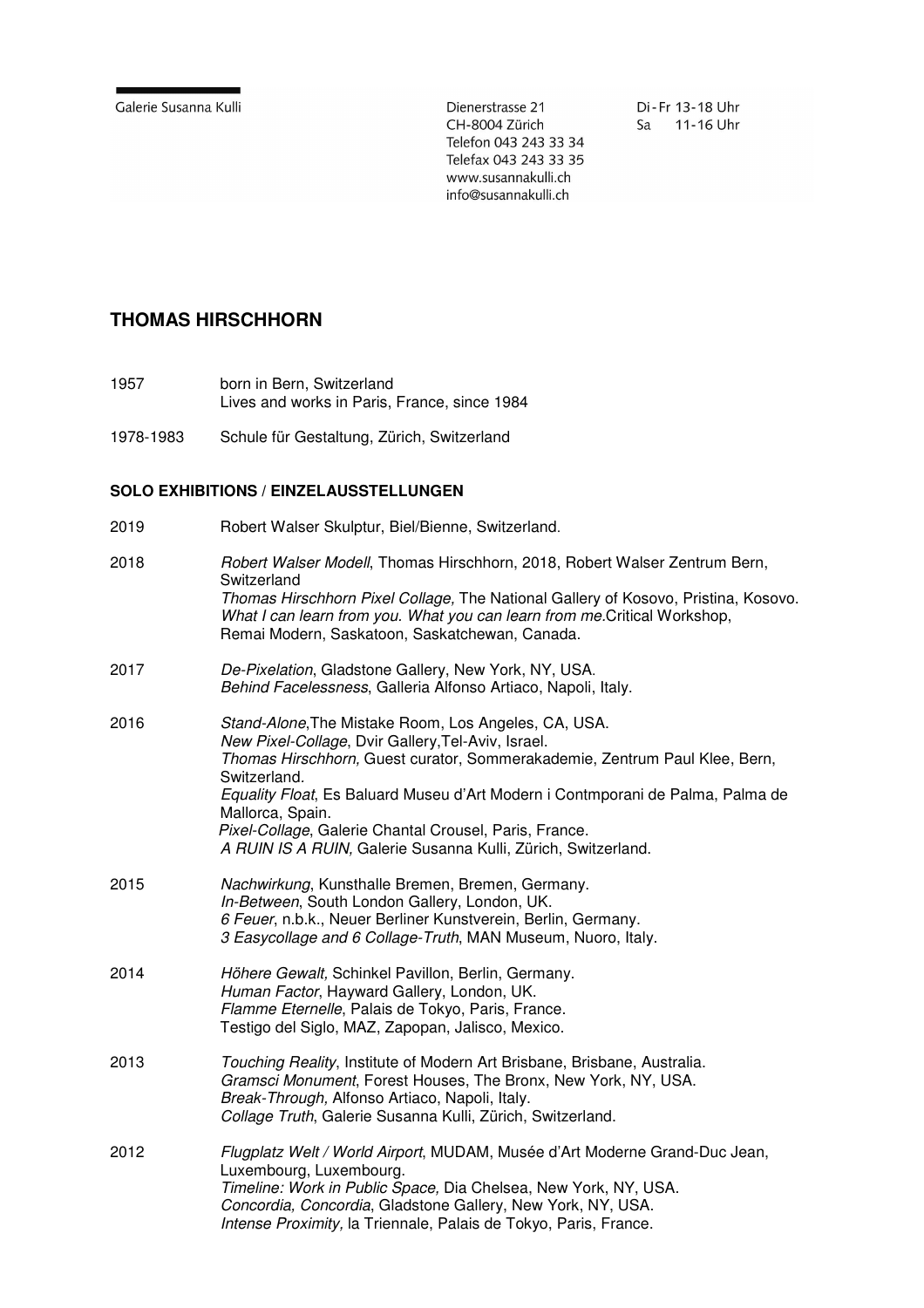Dienerstrasse 21 CH-8004 Zürich Telefon 043 243 33 34 Telefax 043 243 33 35 www.susannakulli.ch info@susannakulli.ch

Di-Fr 13-18 Uhr Sa 11-16 Uhr

## **THOMAS HIRSCHHORN**

- 1957 born in Bern, Switzerland Lives and works in Paris, France, since 1984
- 1978-1983 Schule für Gestaltung, Zürich, Switzerland

## **SOLO EXHIBITIONS / EINZELAUSSTELLUNGEN**

2019 Robert Walser Skulptur, Biel/Bienne, Switzerland.

| 2018 | Robert Walser Modell, Thomas Hirschhorn, 2018, Robert Walser Zentrum Bern,<br>Switzerland<br>Thomas Hirschhorn Pixel Collage, The National Gallery of Kosovo, Pristina, Kosovo.<br>What I can learn from you. What you can learn from me. Critical Workshop,<br>Remai Modern, Saskatoon, Saskatchewan, Canada.                                                                                                                            |
|------|-------------------------------------------------------------------------------------------------------------------------------------------------------------------------------------------------------------------------------------------------------------------------------------------------------------------------------------------------------------------------------------------------------------------------------------------|
| 2017 | De-Pixelation, Gladstone Gallery, New York, NY, USA.<br>Behind Facelessness, Galleria Alfonso Artiaco, Napoli, Italy.                                                                                                                                                                                                                                                                                                                     |
| 2016 | Stand-Alone, The Mistake Room, Los Angeles, CA, USA.<br>New Pixel-Collage, Dvir Gallery, Tel-Aviv, Israel.<br>Thomas Hirschhorn, Guest curator, Sommerakademie, Zentrum Paul Klee, Bern,<br>Switzerland.<br>Equality Float, Es Baluard Museu d'Art Modern i Contmporani de Palma, Palma de<br>Mallorca, Spain.<br>Pixel-Collage, Galerie Chantal Crousel, Paris, France.<br>A RUIN IS A RUIN, Galerie Susanna Kulli, Zürich, Switzerland. |
| 2015 | Nachwirkung, Kunsthalle Bremen, Bremen, Germany.<br>In-Between, South London Gallery, London, UK.<br>6 Feuer, n.b.k., Neuer Berliner Kunstverein, Berlin, Germany.<br>3 Easycollage and 6 Collage-Truth, MAN Museum, Nuoro, Italy.                                                                                                                                                                                                        |
| 2014 | Höhere Gewalt, Schinkel Pavillon, Berlin, Germany.<br>Human Factor, Hayward Gallery, London, UK.<br>Flamme Eternelle, Palais de Tokyo, Paris, France.<br>Testigo del Siglo, MAZ, Zapopan, Jalisco, Mexico.                                                                                                                                                                                                                                |
| 2013 | Touching Reality, Institute of Modern Art Brisbane, Brisbane, Australia.<br>Gramsci Monument, Forest Houses, The Bronx, New York, NY, USA.<br>Break-Through, Alfonso Artiaco, Napoli, Italy.<br>Collage Truth, Galerie Susanna Kulli, Zürich, Switzerland.                                                                                                                                                                                |
| 2012 | Flugplatz Welt / World Airport, MUDAM, Musée d'Art Moderne Grand-Duc Jean,<br>Luxembourg, Luxembourg.<br>Timeline: Work in Public Space, Dia Chelsea, New York, NY, USA.<br>Concordia, Concordia, Gladstone Gallery, New York, NY, USA.<br>Intense Proximity, la Triennale, Palais de Tokyo, Paris, France.                                                                                                                               |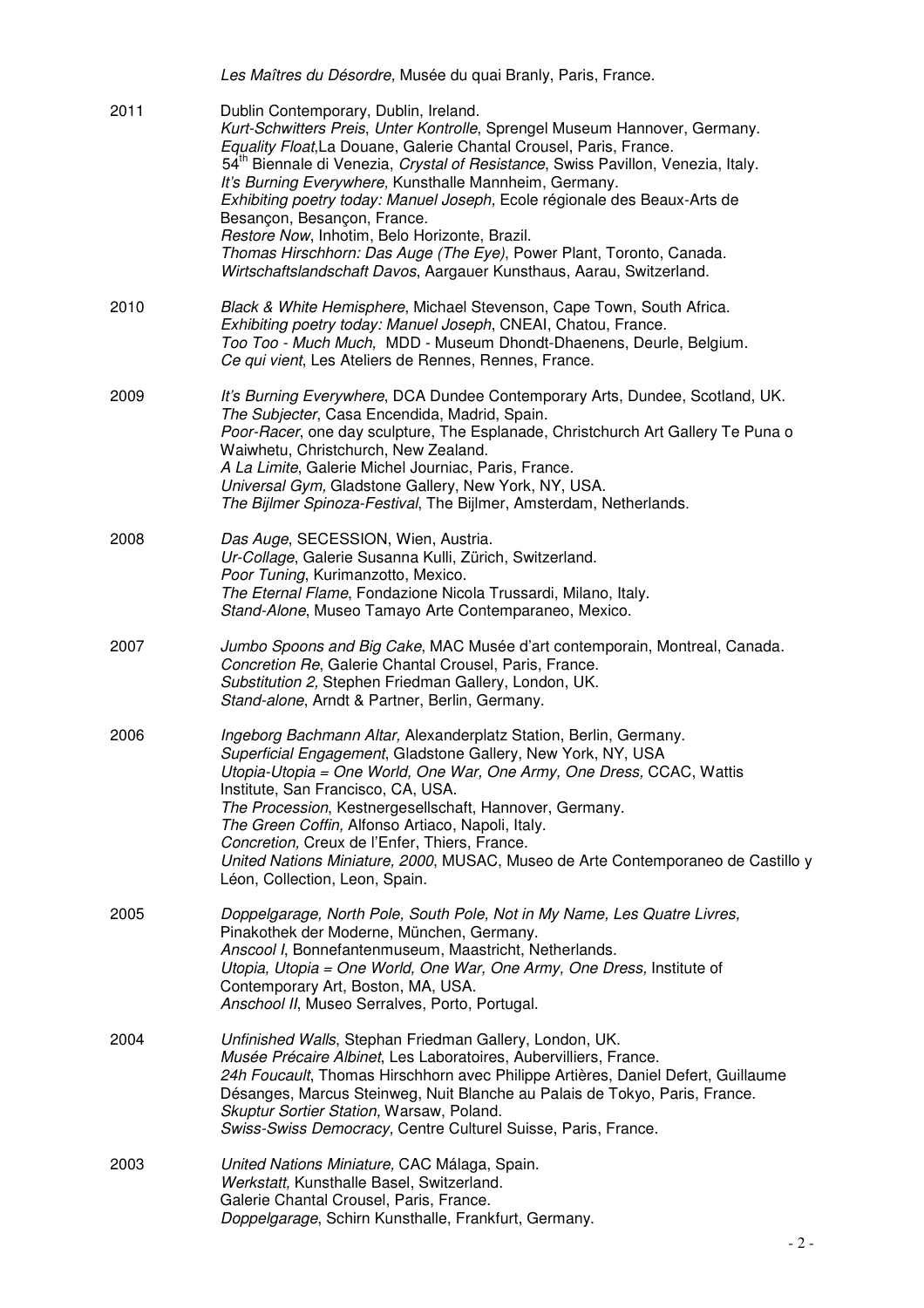|      | Les Maîtres du Désordre, Musée du quai Branly, Paris, France.                                                                                                                                                                                                                                                                                                                                                                                                                                                                                                                                                                                                    |
|------|------------------------------------------------------------------------------------------------------------------------------------------------------------------------------------------------------------------------------------------------------------------------------------------------------------------------------------------------------------------------------------------------------------------------------------------------------------------------------------------------------------------------------------------------------------------------------------------------------------------------------------------------------------------|
| 2011 | Dublin Contemporary, Dublin, Ireland.<br>Kurt-Schwitters Preis, Unter Kontrolle, Sprengel Museum Hannover, Germany.<br>Equality Float, La Douane, Galerie Chantal Crousel, Paris, France.<br>54 <sup>th</sup> Biennale di Venezia, Crystal of Resistance, Swiss Pavillon, Venezia, Italy.<br>It's Burning Everywhere, Kunsthalle Mannheim, Germany.<br>Exhibiting poetry today: Manuel Joseph, Ecole régionale des Beaux-Arts de<br>Besançon, Besançon, France.<br>Restore Now, Inhotim, Belo Horizonte, Brazil.<br>Thomas Hirschhorn: Das Auge (The Eye), Power Plant, Toronto, Canada.<br>Wirtschaftslandschaft Davos, Aargauer Kunsthaus, Aarau, Switzerland. |
| 2010 | Black & White Hemisphere, Michael Stevenson, Cape Town, South Africa.<br>Exhibiting poetry today: Manuel Joseph, CNEAI, Chatou, France.<br>Too Too - Much Much, MDD - Museum Dhondt-Dhaenens, Deurle, Belgium.<br>Ce qui vient, Les Ateliers de Rennes, Rennes, France.                                                                                                                                                                                                                                                                                                                                                                                          |
| 2009 | It's Burning Everywhere, DCA Dundee Contemporary Arts, Dundee, Scotland, UK.<br>The Subjecter, Casa Encendida, Madrid, Spain.<br>Poor-Racer, one day sculpture, The Esplanade, Christchurch Art Gallery Te Puna o<br>Waiwhetu, Christchurch, New Zealand.<br>A La Limite, Galerie Michel Journiac, Paris, France.<br>Universal Gym, Gladstone Gallery, New York, NY, USA.<br>The Bijlmer Spinoza-Festival, The Bijlmer, Amsterdam, Netherlands.                                                                                                                                                                                                                  |
| 2008 | Das Auge, SECESSION, Wien, Austria.<br>Ur-Collage, Galerie Susanna Kulli, Zürich, Switzerland.<br>Poor Tuning, Kurimanzotto, Mexico.<br>The Eternal Flame, Fondazione Nicola Trussardi, Milano, Italy.<br>Stand-Alone, Museo Tamayo Arte Contemparaneo, Mexico.                                                                                                                                                                                                                                                                                                                                                                                                  |
| 2007 | Jumbo Spoons and Big Cake, MAC Musée d'art contemporain, Montreal, Canada.<br>Concretion Re, Galerie Chantal Crousel, Paris, France.<br>Substitution 2, Stephen Friedman Gallery, London, UK.<br>Stand-alone, Arndt & Partner, Berlin, Germany.                                                                                                                                                                                                                                                                                                                                                                                                                  |
| 2006 | Ingeborg Bachmann Altar, Alexanderplatz Station, Berlin, Germany.<br>Superficial Engagement, Gladstone Gallery, New York, NY, USA<br>Utopia-Utopia = One World, One War, One Army, One Dress, CCAC, Wattis<br>Institute, San Francisco, CA, USA.<br>The Procession, Kestnergesellschaft, Hannover, Germany.<br>The Green Coffin, Alfonso Artiaco, Napoli, Italy.<br>Concretion, Creux de l'Enfer, Thiers, France.<br>United Nations Miniature, 2000, MUSAC, Museo de Arte Contemporaneo de Castillo y<br>Léon, Collection, Leon, Spain.                                                                                                                          |
| 2005 | Doppelgarage, North Pole, South Pole, Not in My Name, Les Quatre Livres,<br>Pinakothek der Moderne, München, Germany.<br>Anscool I, Bonnefantenmuseum, Maastricht, Netherlands.<br>Utopia, Utopia = One World, One War, One Army, One Dress, Institute of<br>Contemporary Art, Boston, MA, USA.<br>Anschool II, Museo Serralves, Porto, Portugal.                                                                                                                                                                                                                                                                                                                |
| 2004 | Unfinished Walls, Stephan Friedman Gallery, London, UK.<br>Musée Précaire Albinet, Les Laboratoires, Aubervilliers, France.<br>24h Foucault, Thomas Hirschhorn avec Philippe Artières, Daniel Defert, Guillaume<br>Désanges, Marcus Steinweg, Nuit Blanche au Palais de Tokyo, Paris, France.<br>Skuptur Sortier Station, Warsaw, Poland.<br>Swiss-Swiss Democracy, Centre Culturel Suisse, Paris, France.                                                                                                                                                                                                                                                       |
| 2003 | United Nations Miniature, CAC Málaga, Spain.<br>Werkstatt, Kunsthalle Basel, Switzerland.<br>Galerie Chantal Crousel, Paris, France.<br>Doppelgarage, Schirn Kunsthalle, Frankfurt, Germany.                                                                                                                                                                                                                                                                                                                                                                                                                                                                     |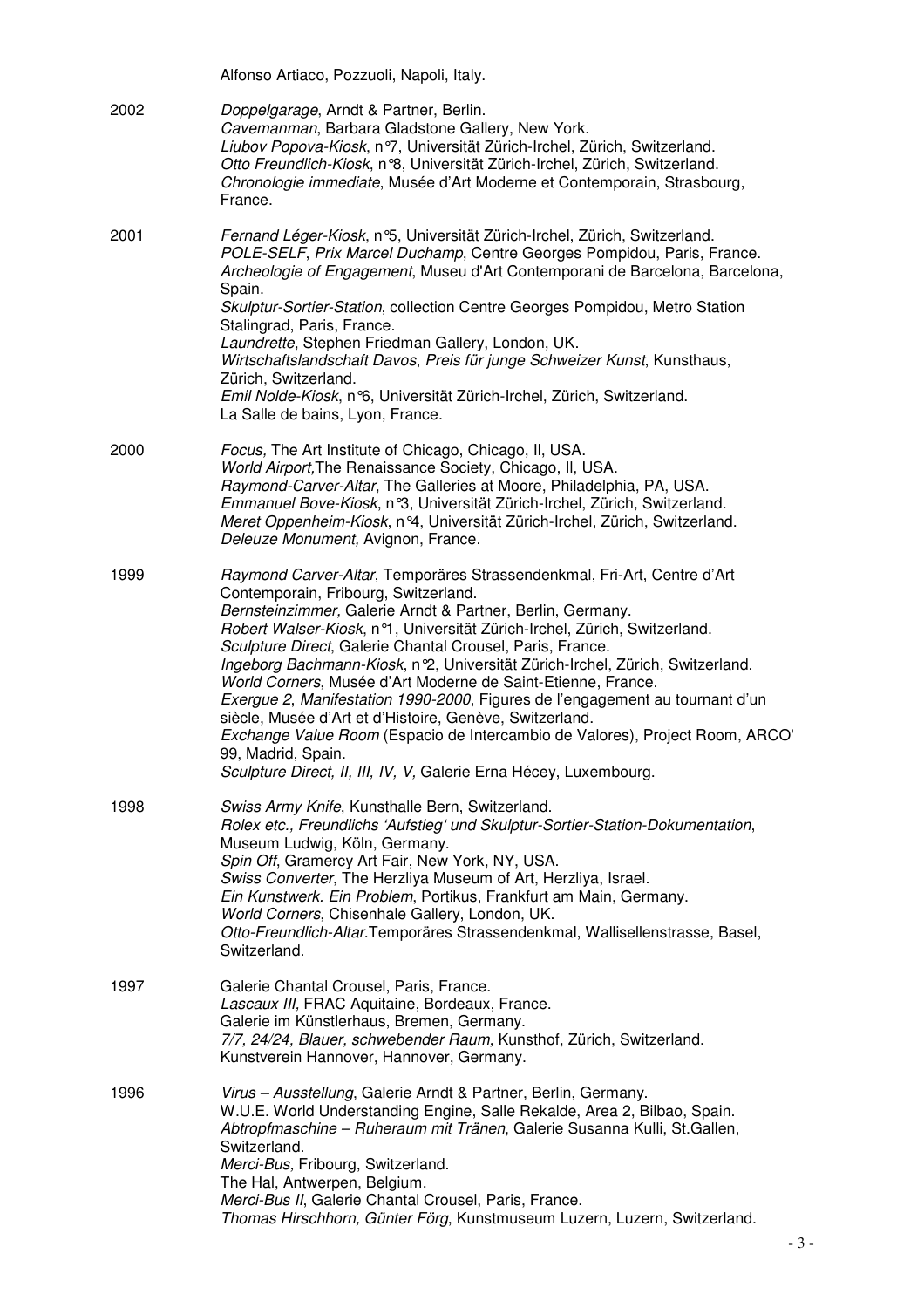|      | Alfonso Artiaco, Pozzuoli, Napoli, Italy.                                                                                                                                                                                                                                                                                                                                                                                                                                                                                                                                                                                                                                                                                                                                                      |
|------|------------------------------------------------------------------------------------------------------------------------------------------------------------------------------------------------------------------------------------------------------------------------------------------------------------------------------------------------------------------------------------------------------------------------------------------------------------------------------------------------------------------------------------------------------------------------------------------------------------------------------------------------------------------------------------------------------------------------------------------------------------------------------------------------|
| 2002 | Doppelgarage, Arndt & Partner, Berlin.<br>Cavemanman, Barbara Gladstone Gallery, New York.<br>Liubov Popova-Kiosk, nº7, Universität Zürich-Irchel, Zürich, Switzerland.<br>Otto Freundlich-Kiosk, n°8, Universität Zürich-Irchel, Zürich, Switzerland.<br>Chronologie immediate, Musée d'Art Moderne et Contemporain, Strasbourg,<br>France.                                                                                                                                                                                                                                                                                                                                                                                                                                                   |
| 2001 | Fernand Léger-Kiosk, n°5, Universität Zürich-Irchel, Zürich, Switzerland.<br>POLE-SELF, Prix Marcel Duchamp, Centre Georges Pompidou, Paris, France.<br>Archeologie of Engagement, Museu d'Art Contemporani de Barcelona, Barcelona,<br>Spain.<br>Skulptur-Sortier-Station, collection Centre Georges Pompidou, Metro Station<br>Stalingrad, Paris, France.<br>Laundrette, Stephen Friedman Gallery, London, UK.<br>Wirtschaftslandschaft Davos, Preis für junge Schweizer Kunst, Kunsthaus,<br>Zürich, Switzerland.<br>Emil Nolde-Kiosk, n°6, Universität Zürich-Irchel, Zürich, Switzerland.<br>La Salle de bains, Lyon, France.                                                                                                                                                             |
| 2000 | Focus, The Art Institute of Chicago, Chicago, II, USA.<br>World Airport, The Renaissance Society, Chicago, II, USA.<br>Raymond-Carver-Altar, The Galleries at Moore, Philadelphia, PA, USA.<br>Emmanuel Bove-Kiosk, nº3, Universität Zürich-Irchel, Zürich, Switzerland.<br>Meret Oppenheim-Kiosk, n°4, Universität Zürich-Irchel, Zürich, Switzerland.<br>Deleuze Monument, Avignon, France.                                                                                                                                                                                                                                                                                                                                                                                                  |
| 1999 | Raymond Carver-Altar, Temporäres Strassendenkmal, Fri-Art, Centre d'Art<br>Contemporain, Fribourg, Switzerland.<br>Bernsteinzimmer, Galerie Arndt & Partner, Berlin, Germany.<br>Robert Walser-Kiosk, n°1, Universität Zürich-Irchel, Zürich, Switzerland.<br>Sculpture Direct, Galerie Chantal Crousel, Paris, France.<br>Ingeborg Bachmann-Kiosk, n 2, Universität Zürich-Irchel, Zürich, Switzerland.<br>World Corners, Musée d'Art Moderne de Saint-Etienne, France.<br>Exergue 2, Manifestation 1990-2000, Figures de l'engagement au tournant d'un<br>siècle, Musée d'Art et d'Histoire, Genève, Switzerland.<br>Exchange Value Room (Espacio de Intercambio de Valores), Project Room, ARCO'<br>99, Madrid, Spain.<br>Sculpture Direct, II, III, IV, V, Galerie Erna Hécey, Luxembourg. |
| 1998 | Swiss Army Knife, Kunsthalle Bern, Switzerland.<br>Rolex etc., Freundlichs 'Aufstieg' und Skulptur-Sortier-Station-Dokumentation,<br>Museum Ludwig, Köln, Germany.<br>Spin Off, Gramercy Art Fair, New York, NY, USA.<br>Swiss Converter, The Herzliya Museum of Art, Herzliya, Israel.<br>Ein Kunstwerk. Ein Problem, Portikus, Frankfurt am Main, Germany.<br>World Corners, Chisenhale Gallery, London, UK.<br>Otto-Freundlich-Altar. Temporäres Strassendenkmal, Wallisellenstrasse, Basel,<br>Switzerland.                                                                                                                                                                                                                                                                                |
| 1997 | Galerie Chantal Crousel, Paris, France.<br>Lascaux III, FRAC Aquitaine, Bordeaux, France.<br>Galerie im Künstlerhaus, Bremen, Germany.<br>7/7, 24/24, Blauer, schwebender Raum, Kunsthof, Zürich, Switzerland.<br>Kunstverein Hannover, Hannover, Germany.                                                                                                                                                                                                                                                                                                                                                                                                                                                                                                                                     |
| 1996 | Virus - Ausstellung, Galerie Arndt & Partner, Berlin, Germany.<br>W.U.E. World Understanding Engine, Salle Rekalde, Area 2, Bilbao, Spain.<br>Abtropfmaschine - Ruheraum mit Tränen, Galerie Susanna Kulli, St.Gallen,<br>Switzerland.<br>Merci-Bus, Fribourg, Switzerland.<br>The Hal, Antwerpen, Belgium.<br>Merci-Bus II, Galerie Chantal Crousel, Paris, France.<br>Thomas Hirschhorn, Günter Förg, Kunstmuseum Luzern, Luzern, Switzerland.                                                                                                                                                                                                                                                                                                                                               |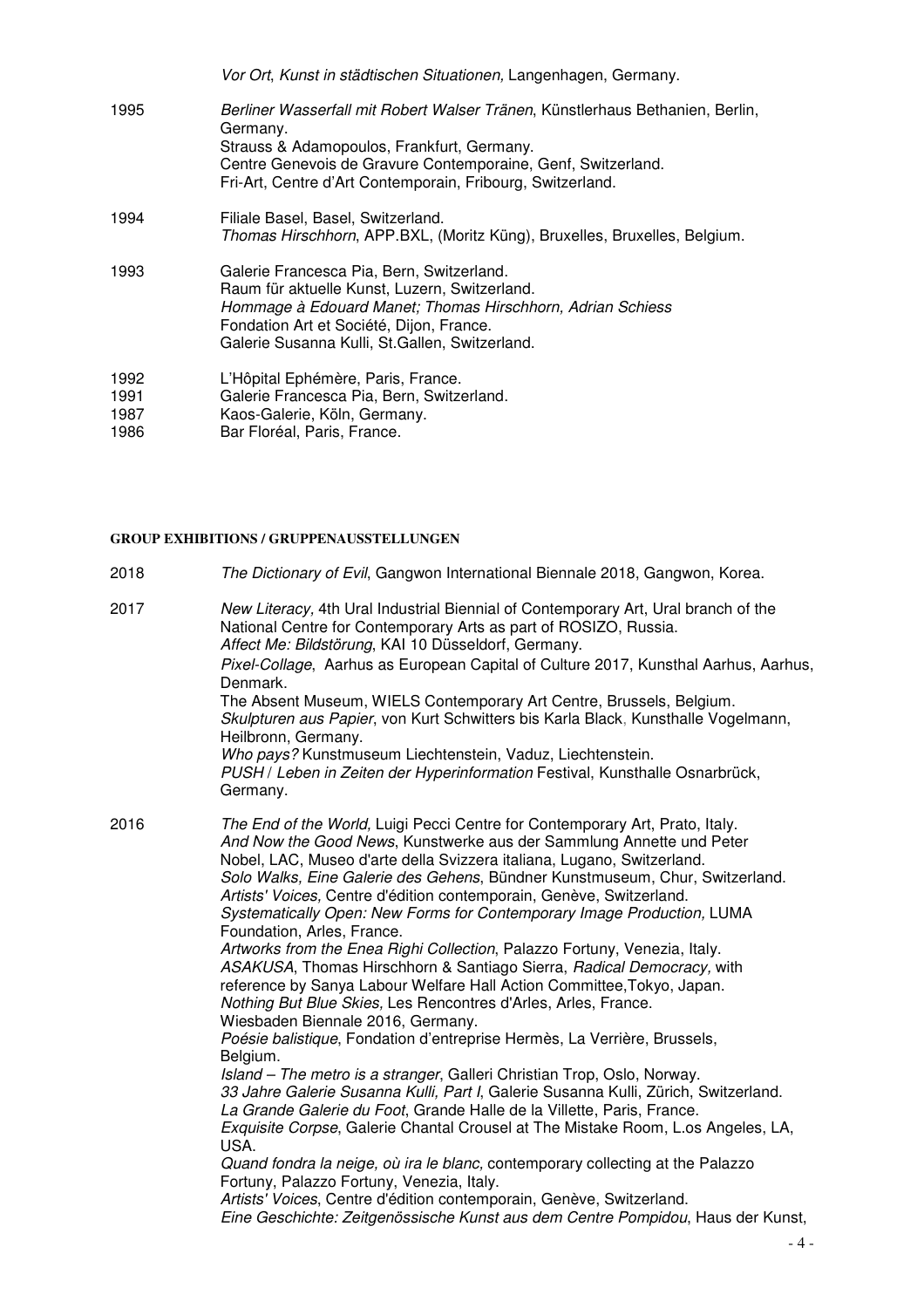|                              | Vor Ort, Kunst in städtischen Situationen, Langenhagen, Germany.                                                                                                                                                                                                      |
|------------------------------|-----------------------------------------------------------------------------------------------------------------------------------------------------------------------------------------------------------------------------------------------------------------------|
| 1995                         | Berliner Wasserfall mit Robert Walser Tränen, Künstlerhaus Bethanien, Berlin,<br>Germany.<br>Strauss & Adamopoulos, Frankfurt, Germany.<br>Centre Genevois de Gravure Contemporaine, Genf, Switzerland.<br>Fri-Art, Centre d'Art Contemporain, Fribourg, Switzerland. |
| 1994                         | Filiale Basel, Basel, Switzerland.<br>Thomas Hirschhorn, APP.BXL, (Moritz Küng), Bruxelles, Bruxelles, Belgium.                                                                                                                                                       |
| 1993                         | Galerie Francesca Pia, Bern, Switzerland.<br>Raum für aktuelle Kunst, Luzern, Switzerland.<br>Hommage à Edouard Manet; Thomas Hirschhorn, Adrian Schiess<br>Fondation Art et Société, Dijon, France.<br>Galerie Susanna Kulli, St.Gallen, Switzerland.                |
| 1992<br>1991<br>1987<br>1986 | L'Hôpital Ephémère, Paris, France.<br>Galerie Francesca Pia, Bern, Switzerland.<br>Kaos-Galerie, Köln, Germany.<br>Bar Floréal, Paris, France.                                                                                                                        |

## **GROUP EXHIBITIONS / GRUPPENAUSSTELLUNGEN**

- 2018 The Dictionary of Evil, Gangwon International Biennale 2018, Gangwon, Korea.
- 2017 New Literacy, 4th Ural Industrial Biennial of Contemporary Art, Ural branch of the National Centre for Contemporary Arts as part of ROSIZO, Russia. Affect Me: Bildstörung, KAI 10 Düsseldorf, Germany. Pixel-Collage, Aarhus as European Capital of Culture 2017, Kunsthal Aarhus, Aarhus, Denmark. The Absent Museum, WIELS Contemporary Art Centre, Brussels, Belgium. Skulpturen aus Papier, von Kurt Schwitters bis Karla Black, Kunsthalle Vogelmann, Heilbronn, Germany. Who pays? Kunstmuseum Liechtenstein, Vaduz, Liechtenstein. PUSH / Leben in Zeiten der Hyperinformation Festival, Kunsthalle Osnarbrück, Germany. 2016 The End of the World, Luigi Pecci Centre for Contemporary Art, Prato, Italy. And Now the Good News, Kunstwerke aus der Sammlung Annette und Peter Nobel, LAC, Museo d'arte della Svizzera italiana, Lugano, Switzerland. Solo Walks, Eine Galerie des Gehens, Bündner Kunstmuseum, Chur, Switzerland. Artists' Voices, Centre d'édition contemporain, Genève, Switzerland. Systematically Open: New Forms for Contemporary Image Production, LUMA Foundation, Arles, France. Artworks from the Enea Righi Collection, Palazzo Fortuny, Venezia, Italy. ASAKUSA, Thomas Hirschhorn & Santiago Sierra, Radical Democracy, with reference by Sanya Labour Welfare Hall Action Committee,Tokyo, Japan. Nothing But Blue Skies, Les Rencontres d'Arles, Arles, France. Wiesbaden Biennale 2016, Germany. Poésie balistique, Fondation d'entreprise Hermès, La Verrière, Brussels, Belgium. Island – The metro is a stranger, Galleri Christian Trop, Oslo, Norway. 33 Jahre Galerie Susanna Kulli, Part I, Galerie Susanna Kulli, Zürich, Switzerland. La Grande Galerie du Foot, Grande Halle de la Villette, Paris, France. Exquisite Corpse, Galerie Chantal Crousel at The Mistake Room, L.os Angeles, LA, USA. Quand fondra la neige, où ira le blanc, contemporary collecting at the Palazzo Fortuny, Palazzo Fortuny, Venezia, Italy. Artists' Voices, Centre d'édition contemporain, Genève, Switzerland. Eine Geschichte: Zeitgenössische Kunst aus dem Centre Pompidou, Haus der Kunst,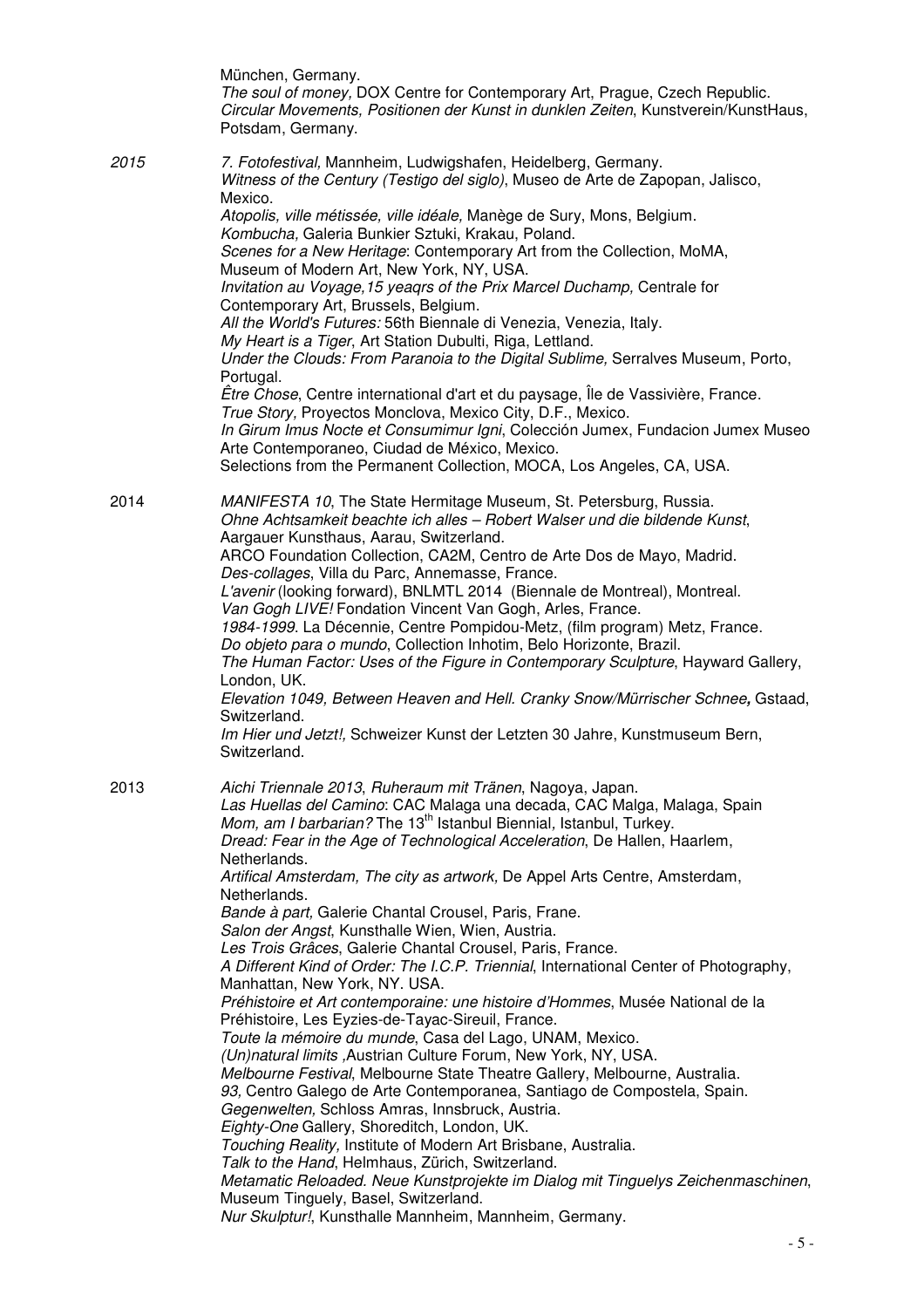|      | München, Germany.<br>The soul of money, DOX Centre for Contemporary Art, Prague, Czech Republic.<br>Circular Movements, Positionen der Kunst in dunklen Zeiten, Kunstverein/KunstHaus,<br>Potsdam, Germany.                                                                                                                                                                                                                                                                                                                                                                                                                                                                                                                                                                                                                                                                                                                                                                                                                                                                                                                                                                                                                                                                                                                                                                                                                                                                                                                                                    |
|------|----------------------------------------------------------------------------------------------------------------------------------------------------------------------------------------------------------------------------------------------------------------------------------------------------------------------------------------------------------------------------------------------------------------------------------------------------------------------------------------------------------------------------------------------------------------------------------------------------------------------------------------------------------------------------------------------------------------------------------------------------------------------------------------------------------------------------------------------------------------------------------------------------------------------------------------------------------------------------------------------------------------------------------------------------------------------------------------------------------------------------------------------------------------------------------------------------------------------------------------------------------------------------------------------------------------------------------------------------------------------------------------------------------------------------------------------------------------------------------------------------------------------------------------------------------------|
| 2015 | 7. Fotofestival, Mannheim, Ludwigshafen, Heidelberg, Germany.<br>Witness of the Century (Testigo del siglo), Museo de Arte de Zapopan, Jalisco,<br>Mexico.<br>Atopolis, ville métissée, ville idéale, Manège de Sury, Mons, Belgium.<br>Kombucha, Galeria Bunkier Sztuki, Krakau, Poland.<br>Scenes for a New Heritage: Contemporary Art from the Collection, MoMA,<br>Museum of Modern Art, New York, NY, USA.<br>Invitation au Voyage, 15 yeagrs of the Prix Marcel Duchamp, Centrale for<br>Contemporary Art, Brussels, Belgium.<br>All the World's Futures: 56th Biennale di Venezia, Venezia, Italy.<br>My Heart is a Tiger, Art Station Dubulti, Riga, Lettland.<br>Under the Clouds: From Paranoia to the Digital Sublime, Serralves Museum, Porto,<br>Portugal.<br>Être Chose, Centre international d'art et du paysage, Île de Vassivière, France.<br>True Story, Proyectos Monclova, Mexico City, D.F., Mexico.<br>In Girum Imus Nocte et Consumimur Igni, Colección Jumex, Fundacion Jumex Museo<br>Arte Contemporaneo, Ciudad de México, Mexico.<br>Selections from the Permanent Collection, MOCA, Los Angeles, CA, USA.                                                                                                                                                                                                                                                                                                                                                                                                                          |
| 2014 | MANIFESTA 10, The State Hermitage Museum, St. Petersburg, Russia.<br>Ohne Achtsamkeit beachte ich alles - Robert Walser und die bildende Kunst,<br>Aargauer Kunsthaus, Aarau, Switzerland.<br>ARCO Foundation Collection, CA2M, Centro de Arte Dos de Mayo, Madrid.<br>Des-collages, Villa du Parc, Annemasse, France.<br>L'avenir (looking forward), BNLMTL 2014 (Biennale de Montreal), Montreal.<br>Van Gogh LIVE! Fondation Vincent Van Gogh, Arles, France.<br>1984-1999. La Décennie, Centre Pompidou-Metz, (film program) Metz, France.<br>Do objeto para o mundo, Collection Inhotim, Belo Horizonte, Brazil.<br>The Human Factor: Uses of the Figure in Contemporary Sculpture, Hayward Gallery,<br>London, UK.<br>Elevation 1049, Between Heaven and Hell. Cranky Snow/Mürrischer Schnee, Gstaad,<br>Switzerland.<br>Im Hier und Jetzt!, Schweizer Kunst der Letzten 30 Jahre, Kunstmuseum Bern,<br>Switzerland.                                                                                                                                                                                                                                                                                                                                                                                                                                                                                                                                                                                                                                     |
| 2013 | Aichi Triennale 2013, Ruheraum mit Tränen, Nagoya, Japan.<br>Las Huellas del Camino: CAC Malaga una decada, CAC Malga, Malaga, Spain<br>Mom, am I barbarian? The 13 <sup>th</sup> Istanbul Biennial, Istanbul, Turkey.<br>Dread: Fear in the Age of Technological Acceleration, De Hallen, Haarlem,<br>Netherlands.<br>Artifical Amsterdam, The city as artwork, De Appel Arts Centre, Amsterdam,<br>Netherlands.<br>Bande à part, Galerie Chantal Crousel, Paris, Frane.<br>Salon der Angst, Kunsthalle Wien, Wien, Austria.<br>Les Trois Grâces, Galerie Chantal Crousel, Paris, France.<br>A Different Kind of Order: The I.C.P. Triennial, International Center of Photography,<br>Manhattan, New York, NY. USA.<br>Préhistoire et Art contemporaine: une histoire d'Hommes, Musée National de la<br>Préhistoire, Les Eyzies-de-Tayac-Sireuil, France.<br>Toute la mémoire du munde, Casa del Lago, UNAM, Mexico.<br>(Un)natural limits, Austrian Culture Forum, New York, NY, USA.<br>Melbourne Festival, Melbourne State Theatre Gallery, Melbourne, Australia.<br>93, Centro Galego de Arte Contemporanea, Santiago de Compostela, Spain.<br>Gegenwelten, Schloss Amras, Innsbruck, Austria.<br>Eighty-One Gallery, Shoreditch, London, UK.<br>Touching Reality, Institute of Modern Art Brisbane, Australia.<br>Talk to the Hand, Helmhaus, Zürich, Switzerland.<br>Metamatic Reloaded. Neue Kunstprojekte im Dialog mit Tinguelys Zeichenmaschinen,<br>Museum Tinguely, Basel, Switzerland.<br>Nur Skulptur!, Kunsthalle Mannheim, Mannheim, Germany. |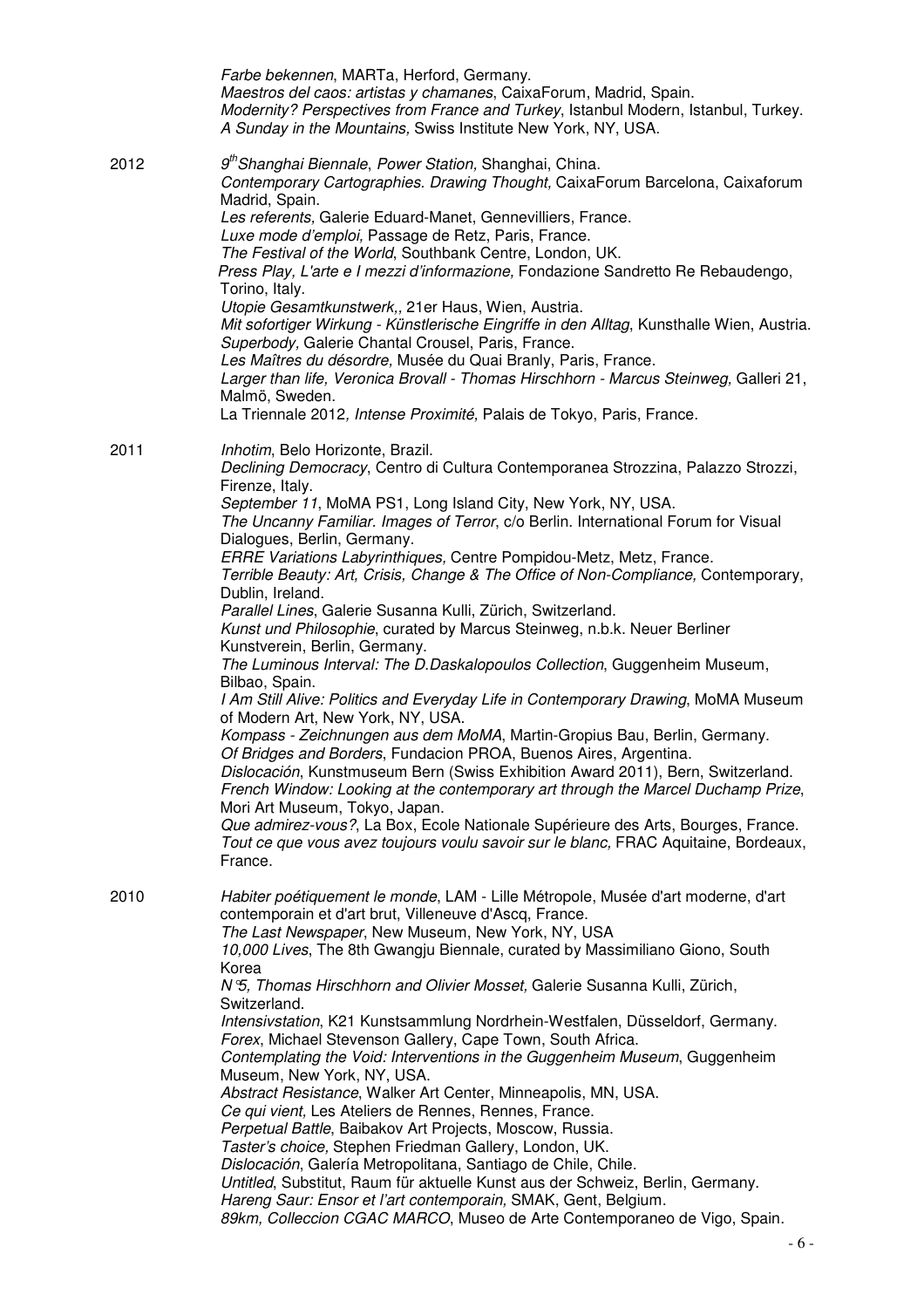|      | Farbe bekennen, MARTa, Herford, Germany.<br>Maestros del caos: artistas y chamanes, CaixaForum, Madrid, Spain.<br>Modernity? Perspectives from France and Turkey, Istanbul Modern, Istanbul, Turkey.<br>A Sunday in the Mountains, Swiss Institute New York, NY, USA.                                                                                                             |
|------|-----------------------------------------------------------------------------------------------------------------------------------------------------------------------------------------------------------------------------------------------------------------------------------------------------------------------------------------------------------------------------------|
| 2012 | 9 <sup>th</sup> Shanghai Biennale, Power Station, Shanghai, China.<br>Contemporary Cartographies. Drawing Thought, CaixaForum Barcelona, Caixaforum<br>Madrid, Spain.                                                                                                                                                                                                             |
|      | Les referents, Galerie Eduard-Manet, Gennevilliers, France.<br>Luxe mode d'emploi, Passage de Retz, Paris, France.<br>The Festival of the World, Southbank Centre, London, UK.<br>Press Play, L'arte e I mezzi d'informazione, Fondazione Sandretto Re Rebaudengo,                                                                                                                |
|      | Torino, Italy.<br>Utopie Gesamtkunstwerk,, 21er Haus, Wien, Austria.<br>Mit sofortiger Wirkung - Künstlerische Eingriffe in den Alltag, Kunsthalle Wien, Austria.<br>Superbody, Galerie Chantal Crousel, Paris, France.<br>Les Maîtres du désordre, Musée du Quai Branly, Paris, France.<br>Larger than life, Veronica Brovall - Thomas Hirschhorn - Marcus Steinweg, Galleri 21, |
|      | Malmö, Sweden.<br>La Triennale 2012, Intense Proximité, Palais de Tokyo, Paris, France.                                                                                                                                                                                                                                                                                           |
| 2011 | Inhotim, Belo Horizonte, Brazil.                                                                                                                                                                                                                                                                                                                                                  |
|      | Declining Democracy, Centro di Cultura Contemporanea Strozzina, Palazzo Strozzi,<br>Firenze, Italy.                                                                                                                                                                                                                                                                               |
|      | September 11, MoMA PS1, Long Island City, New York, NY, USA.<br>The Uncanny Familiar. Images of Terror, c/o Berlin. International Forum for Visual<br>Dialogues, Berlin, Germany.                                                                                                                                                                                                 |
|      | ERRE Variations Labyrinthiques, Centre Pompidou-Metz, Metz, France.<br>Terrible Beauty: Art, Crisis, Change & The Office of Non-Compliance, Contemporary,<br>Dublin, Ireland.                                                                                                                                                                                                     |
|      | Parallel Lines, Galerie Susanna Kulli, Zürich, Switzerland.<br>Kunst und Philosophie, curated by Marcus Steinweg, n.b.k. Neuer Berliner<br>Kunstverein, Berlin, Germany.                                                                                                                                                                                                          |
|      | The Luminous Interval: The D.Daskalopoulos Collection, Guggenheim Museum,<br>Bilbao, Spain.                                                                                                                                                                                                                                                                                       |
|      | I Am Still Alive: Politics and Everyday Life in Contemporary Drawing, MoMA Museum<br>of Modern Art, New York, NY, USA.                                                                                                                                                                                                                                                            |
|      | Kompass - Zeichnungen aus dem MoMA, Martin-Gropius Bau, Berlin, Germany.<br>Of Bridges and Borders, Fundacion PROA, Buenos Aires, Argentina.<br>Dislocación, Kunstmuseum Bern (Swiss Exhibition Award 2011), Bern, Switzerland.                                                                                                                                                   |
|      | French Window: Looking at the contemporary art through the Marcel Duchamp Prize,<br>Mori Art Museum, Tokyo, Japan.                                                                                                                                                                                                                                                                |
|      | Que admirez-vous?, La Box, Ecole Nationale Supérieure des Arts, Bourges, France.<br>Tout ce que vous avez toujours voulu savoir sur le blanc, FRAC Aquitaine, Bordeaux,<br>France.                                                                                                                                                                                                |
| 2010 | Habiter poétiquement le monde, LAM - Lille Métropole, Musée d'art moderne, d'art<br>contemporain et d'art brut, Villeneuve d'Ascq, France.<br>The Last Newspaper, New Museum, New York, NY, USA                                                                                                                                                                                   |
|      | 10,000 Lives, The 8th Gwangju Biennale, curated by Massimiliano Giono, South<br>Korea                                                                                                                                                                                                                                                                                             |
|      | N 5, Thomas Hirschhorn and Olivier Mosset, Galerie Susanna Kulli, Zürich,<br>Switzerland.                                                                                                                                                                                                                                                                                         |
|      | Intensivstation, K21 Kunstsammlung Nordrhein-Westfalen, Düsseldorf, Germany.<br>Forex, Michael Stevenson Gallery, Cape Town, South Africa.                                                                                                                                                                                                                                        |
|      | Contemplating the Void: Interventions in the Guggenheim Museum, Guggenheim<br>Museum, New York, NY, USA.                                                                                                                                                                                                                                                                          |
|      | Abstract Resistance, Walker Art Center, Minneapolis, MN, USA.<br>Ce qui vient, Les Ateliers de Rennes, Rennes, France.                                                                                                                                                                                                                                                            |
|      | Perpetual Battle, Baibakov Art Projects, Moscow, Russia.<br>Taster's choice, Stephen Friedman Gallery, London, UK.                                                                                                                                                                                                                                                                |
|      | Dislocación, Galería Metropolitana, Santiago de Chile, Chile.<br>Untitled, Substitut, Raum für aktuelle Kunst aus der Schweiz, Berlin, Germany.                                                                                                                                                                                                                                   |
|      | Hareng Saur: Ensor et l'art contemporain, SMAK, Gent, Belgium.<br>89km, Colleccion CGAC MARCO, Museo de Arte Contemporaneo de Vigo, Spain.                                                                                                                                                                                                                                        |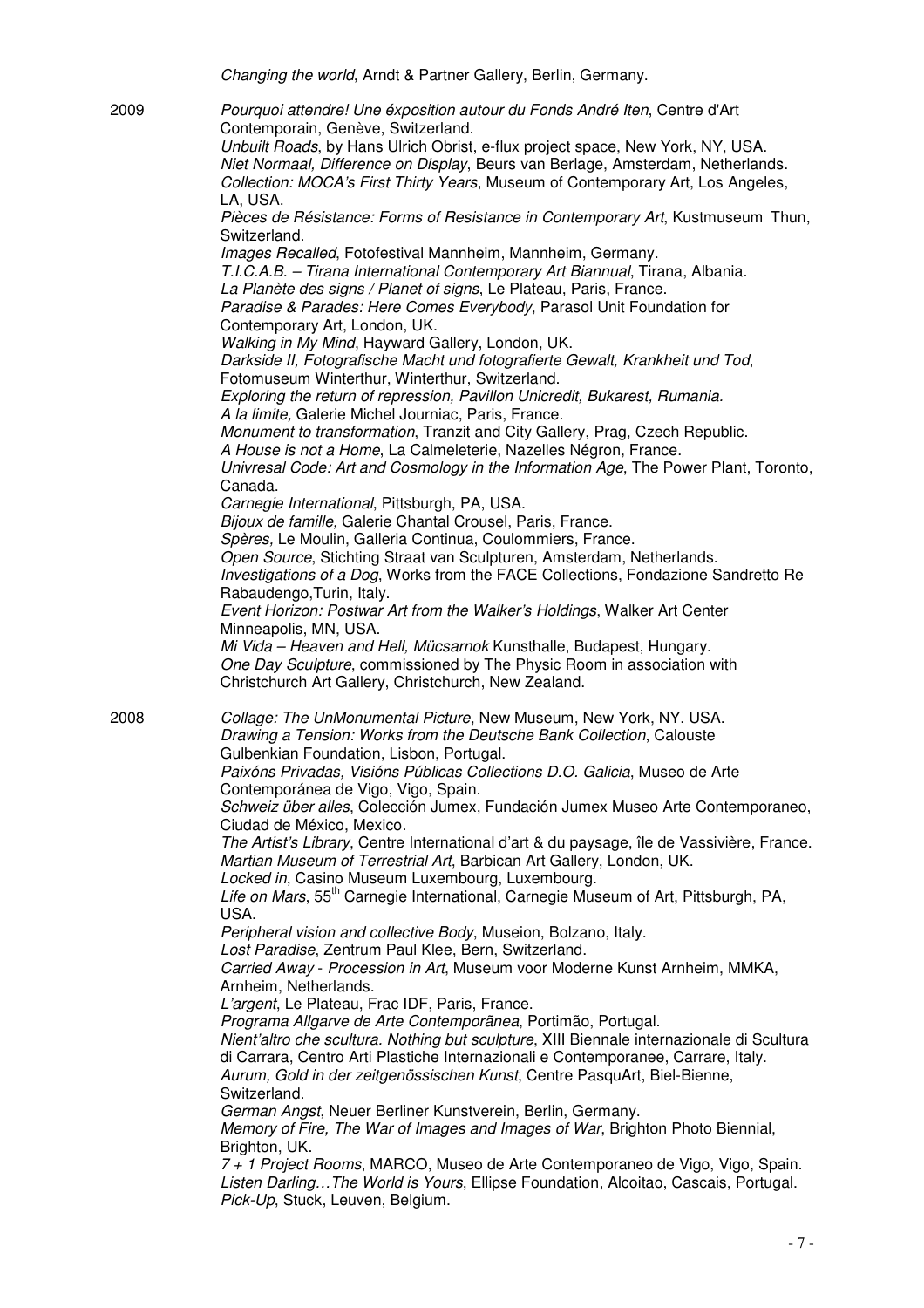Changing the world, Arndt & Partner Gallery, Berlin, Germany. 2009 Pourquoi attendre! Une éxposition autour du Fonds André Iten, Centre d'Art Contemporain, Genève, Switzerland. Unbuilt Roads, by Hans Ulrich Obrist, e-flux project space, New York, NY, USA. Niet Normaal, Difference on Display, Beurs van Berlage, Amsterdam, Netherlands. Collection: MOCA's First Thirty Years, Museum of Contemporary Art, Los Angeles, LA, USA. Pièces de Résistance: Forms of Resistance in Contemporary Art, Kustmuseum Thun, Switzerland. Images Recalled, Fotofestival Mannheim, Mannheim, Germany. T.I.C.A.B. – Tirana International Contemporary Art Biannual, Tirana, Albania. La Planète des signs / Planet of signs, Le Plateau, Paris, France. Paradise & Parades: Here Comes Everybody, Parasol Unit Foundation for Contemporary Art, London, UK. Walking in My Mind, Hayward Gallery, London, UK. Darkside II, Fotografische Macht und fotografierte Gewalt, Krankheit und Tod, Fotomuseum Winterthur, Winterthur, Switzerland. Exploring the return of repression, Pavillon Unicredit, Bukarest, Rumania. A la limite, Galerie Michel Journiac, Paris, France. Monument to transformation, Tranzit and City Gallery, Prag, Czech Republic. A House is not a Home, La Calmeleterie, Nazelles Négron, France. Univresal Code: Art and Cosmology in the Information Age, The Power Plant, Toronto, Canada. Carnegie International, Pittsburgh, PA, USA. Bijoux de famille, Galerie Chantal Crousel, Paris, France. Spères, Le Moulin, Galleria Continua, Coulommiers, France. Open Source, Stichting Straat van Sculpturen, Amsterdam, Netherlands. Investigations of a Dog, Works from the FACE Collections, Fondazione Sandretto Re Rabaudengo,Turin, Italy. Event Horizon: Postwar Art from the Walker's Holdings, Walker Art Center Minneapolis, MN, USA. Mi Vida – Heaven and Hell, Mücsarnok Kunsthalle, Budapest, Hungary. One Day Sculpture, commissioned by The Physic Room in association with Christchurch Art Gallery, Christchurch, New Zealand. 2008 Collage: The UnMonumental Picture, New Museum, New York, NY. USA. Drawing a Tension: Works from the Deutsche Bank Collection, Calouste Gulbenkian Foundation, Lisbon, Portugal. Paixóns Privadas, Visións Públicas Collections D.O. Galicia, Museo de Arte Contemporánea de Vigo, Vigo, Spain. Schweiz über alles, Colección Jumex, Fundación Jumex Museo Arte Contemporaneo, Ciudad de México, Mexico. The Artist's Library, Centre International d'art & du paysage, île de Vassivière, France. Martian Museum of Terrestrial Art, Barbican Art Gallery, London, UK. Locked in, Casino Museum Luxembourg, Luxembourg. Life on Mars, 55<sup>th</sup> Carnegie International, Carnegie Museum of Art, Pittsburgh, PA, USA. Peripheral vision and collective Body, Museion, Bolzano, Italy. Lost Paradise, Zentrum Paul Klee, Bern, Switzerland. Carried Away - Procession in Art, Museum voor Moderne Kunst Arnheim, MMKA, Arnheim, Netherlands. L'argent, Le Plateau, Frac IDF, Paris, France. Programa Allgarve de Arte Contemporãnea, Portimão, Portugal. Nient'altro che scultura. Nothing but sculpture, XIII Biennale internazionale di Scultura di Carrara, Centro Arti Plastiche Internazionali e Contemporanee, Carrare, Italy. Aurum, Gold in der zeitgenössischen Kunst, Centre PasquArt, Biel-Bienne, Switzerland. German Angst, Neuer Berliner Kunstverein, Berlin, Germany. Memory of Fire, The War of Images and Images of War, Brighton Photo Biennial, Brighton, UK. 7 + 1 Project Rooms, MARCO, Museo de Arte Contemporaneo de Vigo, Vigo, Spain. Listen Darling…The World is Yours, Ellipse Foundation, Alcoitao, Cascais, Portugal. Pick-Up, Stuck, Leuven, Belgium.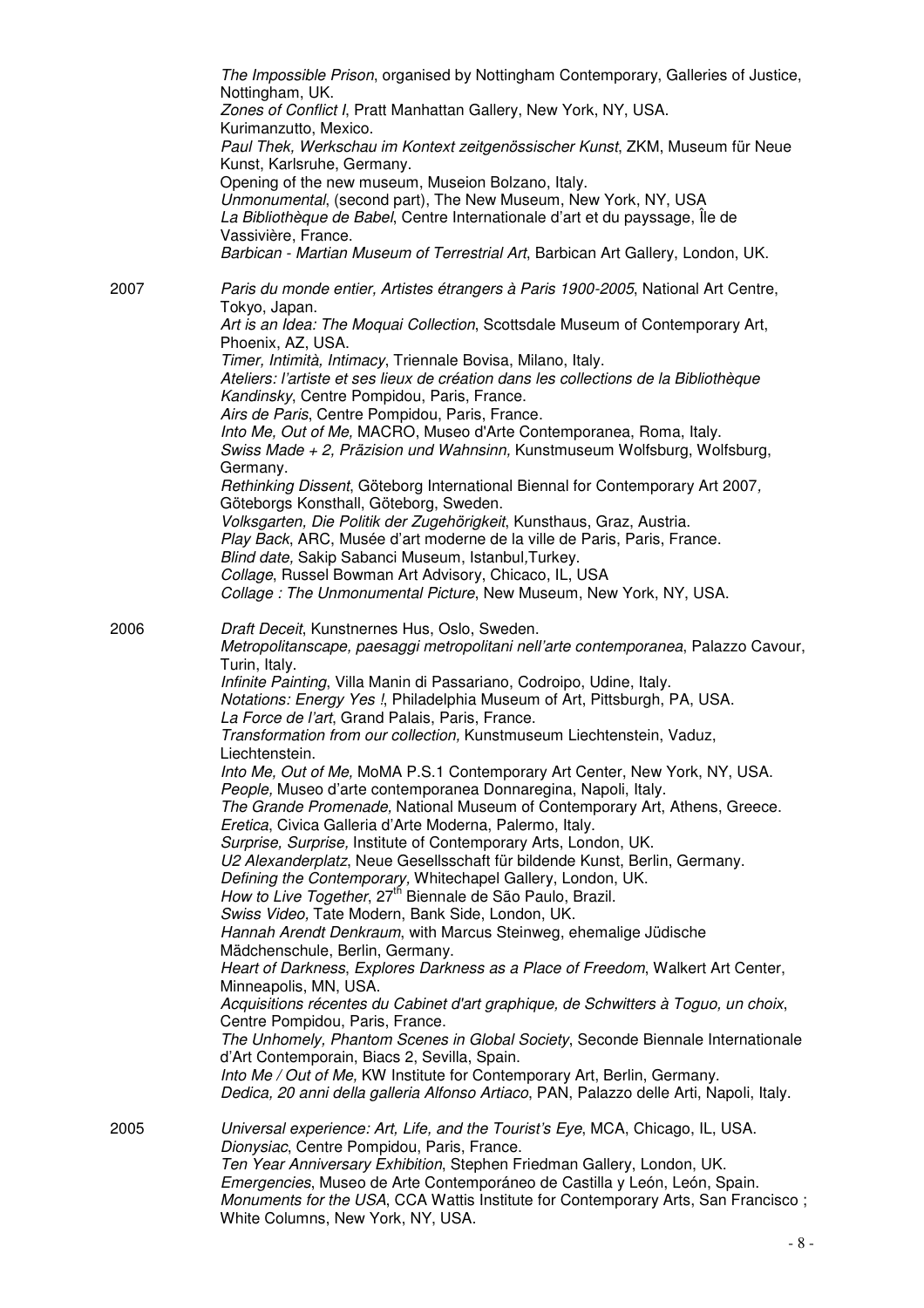|      | The Impossible Prison, organised by Nottingham Contemporary, Galleries of Justice,<br>Nottingham, UK.<br>Zones of Conflict I, Pratt Manhattan Gallery, New York, NY, USA.<br>Kurimanzutto, Mexico.<br>Paul Thek, Werkschau im Kontext zeitgenössischer Kunst, ZKM, Museum für Neue<br>Kunst, Karlsruhe, Germany.<br>Opening of the new museum, Museion Bolzano, Italy.<br>Unmonumental, (second part), The New Museum, New York, NY, USA<br>La Bibliothèque de Babel, Centre Internationale d'art et du payssage, Île de<br>Vassivière, France.<br>Barbican - Martian Museum of Terrestrial Art, Barbican Art Gallery, London, UK.                                                                                                                                                                                                                                                                                                                                                                                                                                                                                                                                                                                                                                                                                                                                                                                                                                                                                                                                                                                                                                                                                                                   |
|------|------------------------------------------------------------------------------------------------------------------------------------------------------------------------------------------------------------------------------------------------------------------------------------------------------------------------------------------------------------------------------------------------------------------------------------------------------------------------------------------------------------------------------------------------------------------------------------------------------------------------------------------------------------------------------------------------------------------------------------------------------------------------------------------------------------------------------------------------------------------------------------------------------------------------------------------------------------------------------------------------------------------------------------------------------------------------------------------------------------------------------------------------------------------------------------------------------------------------------------------------------------------------------------------------------------------------------------------------------------------------------------------------------------------------------------------------------------------------------------------------------------------------------------------------------------------------------------------------------------------------------------------------------------------------------------------------------------------------------------------------------|
| 2007 | Paris du monde entier, Artistes étrangers à Paris 1900-2005, National Art Centre,<br>Tokyo, Japan.<br>Art is an Idea: The Moquai Collection, Scottsdale Museum of Contemporary Art,                                                                                                                                                                                                                                                                                                                                                                                                                                                                                                                                                                                                                                                                                                                                                                                                                                                                                                                                                                                                                                                                                                                                                                                                                                                                                                                                                                                                                                                                                                                                                                  |
|      | Phoenix, AZ, USA.<br>Timer, Intimità, Intimacy, Triennale Bovisa, Milano, Italy.<br>Ateliers: l'artiste et ses lieux de création dans les collections de la Bibliothèque<br>Kandinsky, Centre Pompidou, Paris, France.<br>Airs de Paris, Centre Pompidou, Paris, France.<br>Into Me, Out of Me, MACRO, Museo d'Arte Contemporanea, Roma, Italy.<br>Swiss Made + 2, Präzision und Wahnsinn, Kunstmuseum Wolfsburg, Wolfsburg,<br>Germany.<br>Rethinking Dissent, Göteborg International Biennal for Contemporary Art 2007,                                                                                                                                                                                                                                                                                                                                                                                                                                                                                                                                                                                                                                                                                                                                                                                                                                                                                                                                                                                                                                                                                                                                                                                                                            |
|      | Göteborgs Konsthall, Göteborg, Sweden.<br>Volksgarten, Die Politik der Zugehörigkeit, Kunsthaus, Graz, Austria.<br>Play Back, ARC, Musée d'art moderne de la ville de Paris, Paris, France.<br>Blind date, Sakip Sabanci Museum, Istanbul, Turkey.<br>Collage, Russel Bowman Art Advisory, Chicaco, IL, USA<br>Collage: The Unmonumental Picture, New Museum, New York, NY, USA.                                                                                                                                                                                                                                                                                                                                                                                                                                                                                                                                                                                                                                                                                                                                                                                                                                                                                                                                                                                                                                                                                                                                                                                                                                                                                                                                                                     |
| 2006 | Draft Deceit, Kunstnernes Hus, Oslo, Sweden.<br>Metropolitanscape, paesaggi metropolitani nell'arte contemporanea, Palazzo Cavour,<br>Turin, Italy.<br>Infinite Painting, Villa Manin di Passariano, Codroipo, Udine, Italy.<br>Notations: Energy Yes !, Philadelphia Museum of Art, Pittsburgh, PA, USA.<br>La Force de l'art, Grand Palais, Paris, France.<br>Transformation from our collection, Kunstmuseum Liechtenstein, Vaduz,<br>Liechtenstein.<br>Into Me, Out of Me, MoMA P.S.1 Contemporary Art Center, New York, NY, USA.<br>People, Museo d'arte contemporanea Donnaregina, Napoli, Italy.<br>The Grande Promenade, National Museum of Contemporary Art, Athens, Greece.<br>Eretica, Civica Galleria d'Arte Moderna, Palermo, Italy.<br>Surprise, Surprise, Institute of Contemporary Arts, London, UK.<br>U2 Alexanderplatz, Neue Gesellsschaft für bildende Kunst, Berlin, Germany.<br>Defining the Contemporary, Whitechapel Gallery, London, UK.<br>How to Live Together, 27 <sup>th</sup> Biennale de São Paulo, Brazil.<br>Swiss Video, Tate Modern, Bank Side, London, UK.<br>Hannah Arendt Denkraum, with Marcus Steinweg, ehemalige Jüdische<br>Mädchenschule, Berlin, Germany.<br>Heart of Darkness, Explores Darkness as a Place of Freedom, Walkert Art Center,<br>Minneapolis, MN, USA.<br>Acquisitions récentes du Cabinet d'art graphique, de Schwitters à Toguo, un choix,<br>Centre Pompidou, Paris, France.<br>The Unhomely, Phantom Scenes in Global Society, Seconde Biennale Internationale<br>d'Art Contemporain, Biacs 2, Sevilla, Spain.<br>Into Me / Out of Me, KW Institute for Contemporary Art, Berlin, Germany.<br>Dedica, 20 anni della galleria Alfonso Artiaco, PAN, Palazzo delle Arti, Napoli, Italy. |
| 2005 | Universal experience: Art, Life, and the Tourist's Eye, MCA, Chicago, IL, USA.<br>Dionysiac, Centre Pompidou, Paris, France.<br>Ten Year Anniversary Exhibition, Stephen Friedman Gallery, London, UK.<br>Emergencies, Museo de Arte Contemporáneo de Castilla y León, León, Spain.<br>Monuments for the USA, CCA Wattis Institute for Contemporary Arts, San Francisco;<br>White Columns, New York, NY, USA.                                                                                                                                                                                                                                                                                                                                                                                                                                                                                                                                                                                                                                                                                                                                                                                                                                                                                                                                                                                                                                                                                                                                                                                                                                                                                                                                        |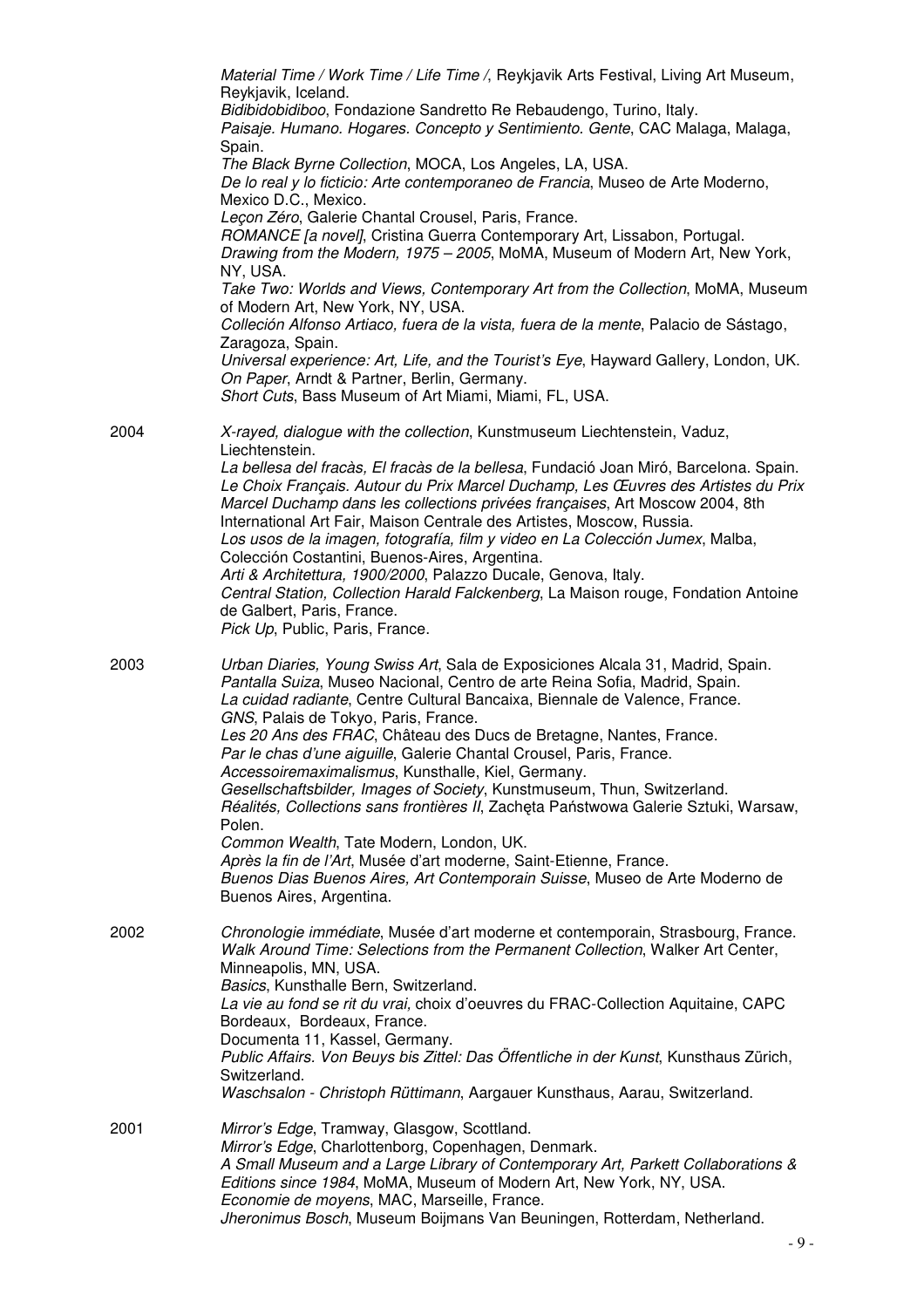|      | Material Time / Work Time / Life Time /, Reykjavik Arts Festival, Living Art Museum,                                                                                                                                                                                                                                                                                                                                                                                                                                                                                                                                                                    |
|------|---------------------------------------------------------------------------------------------------------------------------------------------------------------------------------------------------------------------------------------------------------------------------------------------------------------------------------------------------------------------------------------------------------------------------------------------------------------------------------------------------------------------------------------------------------------------------------------------------------------------------------------------------------|
|      | Reykjavik, Iceland.<br>Bidibidobidiboo, Fondazione Sandretto Re Rebaudengo, Turino, Italy.<br>Paisaje. Humano. Hogares. Concepto y Sentimiento. Gente, CAC Malaga, Malaga,                                                                                                                                                                                                                                                                                                                                                                                                                                                                              |
|      | Spain.                                                                                                                                                                                                                                                                                                                                                                                                                                                                                                                                                                                                                                                  |
|      | The Black Byrne Collection, MOCA, Los Angeles, LA, USA.<br>De lo real y lo ficticio: Arte contemporaneo de Francia, Museo de Arte Moderno,                                                                                                                                                                                                                                                                                                                                                                                                                                                                                                              |
|      | Mexico D.C., Mexico.                                                                                                                                                                                                                                                                                                                                                                                                                                                                                                                                                                                                                                    |
|      | Leçon Zéro, Galerie Chantal Crousel, Paris, France.<br>ROMANCE [a novel], Cristina Guerra Contemporary Art, Lissabon, Portugal.<br>Drawing from the Modern, 1975 - 2005, MoMA, Museum of Modern Art, New York,                                                                                                                                                                                                                                                                                                                                                                                                                                          |
|      | NY, USA.<br>Take Two: Worlds and Views, Contemporary Art from the Collection, MoMA, Museum                                                                                                                                                                                                                                                                                                                                                                                                                                                                                                                                                              |
|      | of Modern Art, New York, NY, USA.<br>Colleción Alfonso Artiaco, fuera de la vista, fuera de la mente, Palacio de Sástago,<br>Zaragoza, Spain.                                                                                                                                                                                                                                                                                                                                                                                                                                                                                                           |
|      | Universal experience: Art, Life, and the Tourist's Eye, Hayward Gallery, London, UK.<br>On Paper, Arndt & Partner, Berlin, Germany.                                                                                                                                                                                                                                                                                                                                                                                                                                                                                                                     |
|      | Short Cuts, Bass Museum of Art Miami, Miami, FL, USA.                                                                                                                                                                                                                                                                                                                                                                                                                                                                                                                                                                                                   |
| 2004 | X-rayed, dialogue with the collection, Kunstmuseum Liechtenstein, Vaduz,<br>Liechtenstein.                                                                                                                                                                                                                                                                                                                                                                                                                                                                                                                                                              |
|      | La bellesa del fracàs, El fracàs de la bellesa, Fundació Joan Miró, Barcelona. Spain.<br>Le Choix Français. Autour du Prix Marcel Duchamp, Les Œuvres des Artistes du Prix<br>Marcel Duchamp dans les collections privées françaises, Art Moscow 2004, 8th<br>International Art Fair, Maison Centrale des Artistes, Moscow, Russia.<br>Los usos de la imagen, fotografía, film y video en La Colección Jumex, Malba,<br>Colección Costantini, Buenos-Aires, Argentina.<br>Arti & Architettura, 1900/2000, Palazzo Ducale, Genova, Italy.                                                                                                                |
|      | Central Station, Collection Harald Falckenberg, La Maison rouge, Fondation Antoine<br>de Galbert, Paris, France.<br>Pick Up, Public, Paris, France.                                                                                                                                                                                                                                                                                                                                                                                                                                                                                                     |
| 2003 | Urban Diaries, Young Swiss Art, Sala de Exposiciones Alcala 31, Madrid, Spain.<br>Pantalla Suiza, Museo Nacional, Centro de arte Reina Sofia, Madrid, Spain.<br>La cuidad radiante, Centre Cultural Bancaixa, Biennale de Valence, France.<br>GNS, Palais de Tokyo, Paris, France.<br>Les 20 Ans des FRAC, Château des Ducs de Bretagne, Nantes, France.<br>Par le chas d'une aiguille, Galerie Chantal Crousel, Paris, France.<br>Accessoiremaximalismus, Kunsthalle, Kiel, Germany.<br>Gesellschaftsbilder, Images of Society, Kunstmuseum, Thun, Switzerland.<br>Réalités, Collections sans frontières II, Zacheta Państwowa Galerie Sztuki, Warsaw, |
|      | Polen.                                                                                                                                                                                                                                                                                                                                                                                                                                                                                                                                                                                                                                                  |
|      | Common Wealth, Tate Modern, London, UK.<br>Après la fin de l'Art, Musée d'art moderne, Saint-Etienne, France.<br>Buenos Dias Buenos Aires, Art Contemporain Suisse, Museo de Arte Moderno de<br>Buenos Aires, Argentina.                                                                                                                                                                                                                                                                                                                                                                                                                                |
| 2002 | Chronologie immédiate, Musée d'art moderne et contemporain, Strasbourg, France.<br>Walk Around Time: Selections from the Permanent Collection, Walker Art Center,<br>Minneapolis, MN, USA.                                                                                                                                                                                                                                                                                                                                                                                                                                                              |
|      | Basics, Kunsthalle Bern, Switzerland.<br>La vie au fond se rit du vrai, choix d'oeuvres du FRAC-Collection Aquitaine, CAPC<br>Bordeaux, Bordeaux, France.<br>Documenta 11, Kassel, Germany.                                                                                                                                                                                                                                                                                                                                                                                                                                                             |
|      | Public Affairs. Von Beuys bis Zittel: Das Öffentliche in der Kunst, Kunsthaus Zürich,<br>Switzerland.                                                                                                                                                                                                                                                                                                                                                                                                                                                                                                                                                   |
|      | Waschsalon - Christoph Rüttimann, Aargauer Kunsthaus, Aarau, Switzerland.                                                                                                                                                                                                                                                                                                                                                                                                                                                                                                                                                                               |
| 2001 | Mirror's Edge, Tramway, Glasgow, Scottland.<br>Mirror's Edge, Charlottenborg, Copenhagen, Denmark.<br>A Small Museum and a Large Library of Contemporary Art, Parkett Collaborations &<br>Editions since 1984, MoMA, Museum of Modern Art, New York, NY, USA.<br>Economie de moyens, MAC, Marseille, France.<br>Jheronimus Bosch, Museum Boijmans Van Beuningen, Rotterdam, Netherland.                                                                                                                                                                                                                                                                 |
|      |                                                                                                                                                                                                                                                                                                                                                                                                                                                                                                                                                                                                                                                         |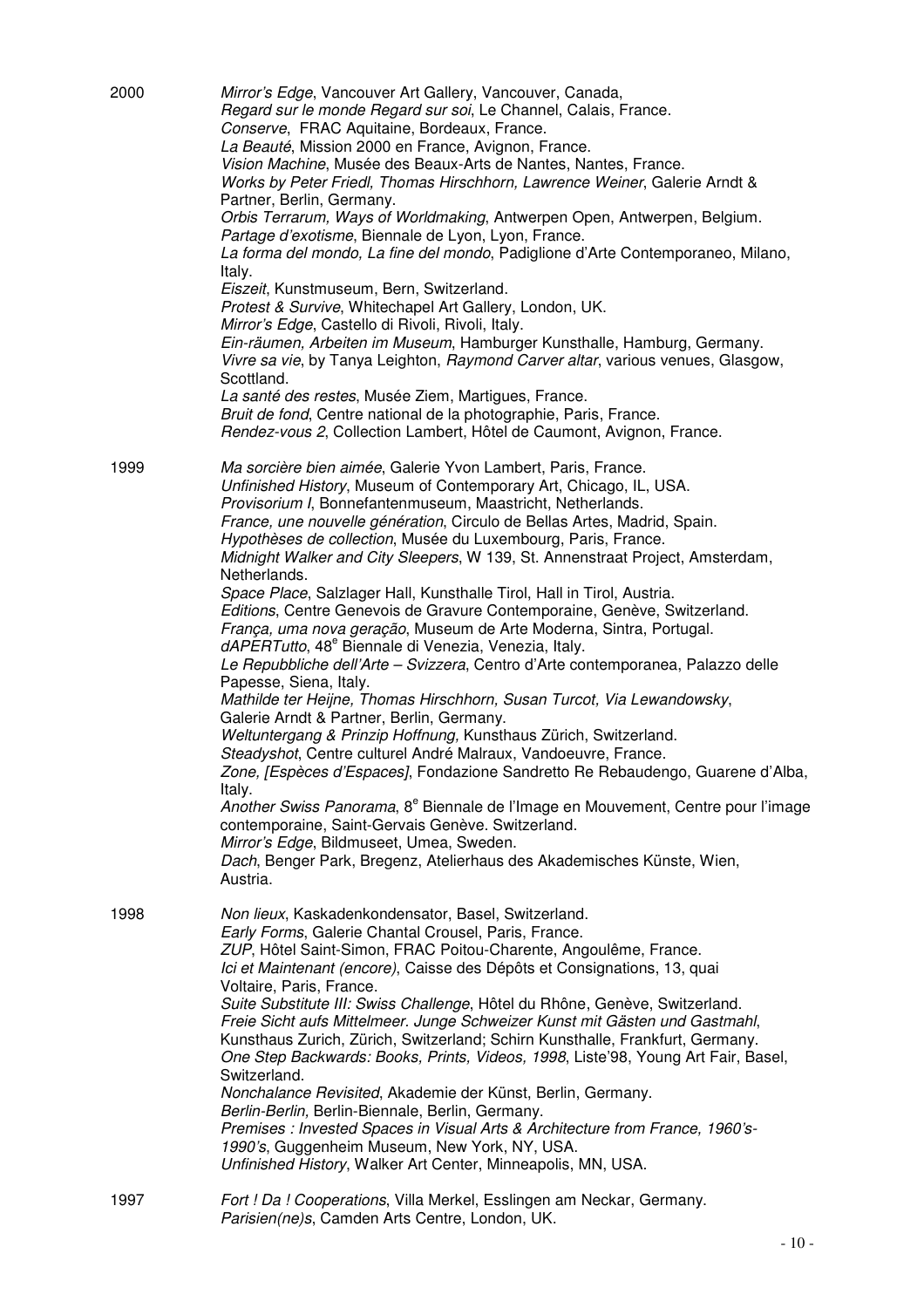| 2000 | Mirror's Edge, Vancouver Art Gallery, Vancouver, Canada,<br>Regard sur le monde Regard sur soi, Le Channel, Calais, France.<br>Conserve, FRAC Aquitaine, Bordeaux, France.<br>La Beauté, Mission 2000 en France, Avignon, France.<br>Vision Machine, Musée des Beaux-Arts de Nantes, Nantes, France.<br>Works by Peter Friedl, Thomas Hirschhorn, Lawrence Weiner, Galerie Arndt &<br>Partner, Berlin, Germany.<br>Orbis Terrarum, Ways of Worldmaking, Antwerpen Open, Antwerpen, Belgium.<br>Partage d'exotisme, Biennale de Lyon, Lyon, France.<br>La forma del mondo, La fine del mondo, Padiglione d'Arte Contemporaneo, Milano,<br>Italy.<br>Eiszeit, Kunstmuseum, Bern, Switzerland.<br>Protest & Survive, Whitechapel Art Gallery, London, UK.<br>Mirror's Edge, Castello di Rivoli, Rivoli, Italy.<br>Ein-räumen, Arbeiten im Museum, Hamburger Kunsthalle, Hamburg, Germany.<br>Vivre sa vie, by Tanya Leighton, Raymond Carver altar, various venues, Glasgow,<br>Scottland.<br>La santé des restes, Musée Ziem, Martigues, France.<br>Bruit de fond, Centre national de la photographie, Paris, France.<br>Rendez-vous 2, Collection Lambert, Hôtel de Caumont, Avignon, France.                                                                                                                                                                                                                                                                                                                |
|------|-------------------------------------------------------------------------------------------------------------------------------------------------------------------------------------------------------------------------------------------------------------------------------------------------------------------------------------------------------------------------------------------------------------------------------------------------------------------------------------------------------------------------------------------------------------------------------------------------------------------------------------------------------------------------------------------------------------------------------------------------------------------------------------------------------------------------------------------------------------------------------------------------------------------------------------------------------------------------------------------------------------------------------------------------------------------------------------------------------------------------------------------------------------------------------------------------------------------------------------------------------------------------------------------------------------------------------------------------------------------------------------------------------------------------------------------------------------------------------------------------------------|
| 1999 | Ma sorcière bien aimée, Galerie Yvon Lambert, Paris, France.<br>Unfinished History, Museum of Contemporary Art, Chicago, IL, USA.<br>Provisorium I, Bonnefantenmuseum, Maastricht, Netherlands.<br>France, une nouvelle génération, Circulo de Bellas Artes, Madrid, Spain.<br>Hypothèses de collection, Musée du Luxembourg, Paris, France.<br>Midnight Walker and City Sleepers, W 139, St. Annenstraat Project, Amsterdam,<br>Netherlands.<br>Space Place, Salzlager Hall, Kunsthalle Tirol, Hall in Tirol, Austria.<br>Editions, Centre Genevois de Gravure Contemporaine, Genève, Switzerland.<br>França, uma nova geração, Museum de Arte Moderna, Sintra, Portugal.<br>dAPERTutto, 48 <sup>e</sup> Biennale di Venezia, Venezia, Italy.<br>Le Repubbliche dell'Arte - Svizzera, Centro d'Arte contemporanea, Palazzo delle<br>Papesse, Siena, Italy.<br>Mathilde ter Heijne, Thomas Hirschhorn, Susan Turcot, Via Lewandowsky,<br>Galerie Arndt & Partner, Berlin, Germany.<br>Weltuntergang & Prinzip Hoffnung, Kunsthaus Zürich, Switzerland.<br>Steadyshot, Centre culturel André Malraux, Vandoeuvre, France.<br>Zone, [Espèces d'Espaces], Fondazione Sandretto Re Rebaudengo, Guarene d'Alba,<br>Italy.<br>Another Swiss Panorama, 8 <sup>e</sup> Biennale de l'Image en Mouvement, Centre pour l'image<br>contemporaine, Saint-Gervais Genève. Switzerland.<br>Mirror's Edge, Bildmuseet, Umea, Sweden.<br>Dach, Benger Park, Bregenz, Atelierhaus des Akademisches Künste, Wien,<br>Austria. |
| 1998 | Non lieux, Kaskadenkondensator, Basel, Switzerland.<br>Early Forms, Galerie Chantal Crousel, Paris, France.<br>ZUP, Hôtel Saint-Simon, FRAC Poitou-Charente, Angoulême, France.<br>Ici et Maintenant (encore), Caisse des Dépôts et Consignations, 13, quai<br>Voltaire, Paris, France.<br>Suite Substitute III: Swiss Challenge, Hôtel du Rhône, Genève, Switzerland.<br>Freie Sicht aufs Mittelmeer. Junge Schweizer Kunst mit Gästen und Gastmahl,<br>Kunsthaus Zurich, Zürich, Switzerland; Schirn Kunsthalle, Frankfurt, Germany.<br>One Step Backwards: Books, Prints, Videos, 1998, Liste'98, Young Art Fair, Basel,<br>Switzerland.<br>Nonchalance Revisited, Akademie der Künst, Berlin, Germany.<br>Berlin-Berlin, Berlin-Biennale, Berlin, Germany.<br>Premises : Invested Spaces in Visual Arts & Architecture from France, 1960's-<br>1990's, Guggenheim Museum, New York, NY, USA.<br>Unfinished History, Walker Art Center, Minneapolis, MN, USA.                                                                                                                                                                                                                                                                                                                                                                                                                                                                                                                                            |
| 1997 | Fort ! Da ! Cooperations, Villa Merkel, Esslingen am Neckar, Germany.<br>Parisien(ne)s, Camden Arts Centre, London, UK.                                                                                                                                                                                                                                                                                                                                                                                                                                                                                                                                                                                                                                                                                                                                                                                                                                                                                                                                                                                                                                                                                                                                                                                                                                                                                                                                                                                     |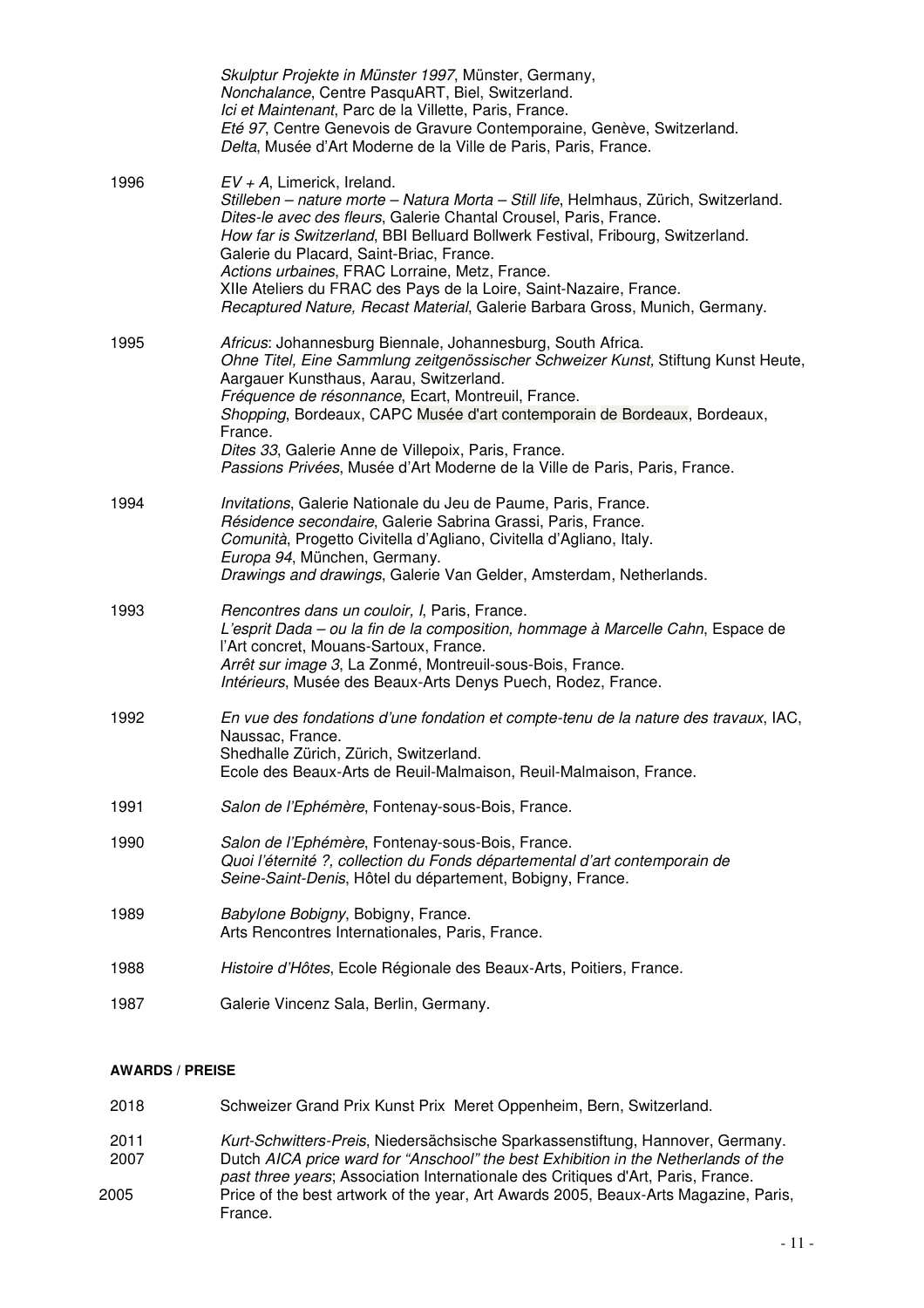|      | Skulptur Projekte in Münster 1997, Münster, Germany,<br>Nonchalance, Centre PasquART, Biel, Switzerland.<br>Ici et Maintenant, Parc de la Villette, Paris, France.<br>Eté 97, Centre Genevois de Gravure Contemporaine, Genève, Switzerland.<br>Delta, Musée d'Art Moderne de la Ville de Paris, Paris, France.                                                                                                                                                                                                                 |
|------|---------------------------------------------------------------------------------------------------------------------------------------------------------------------------------------------------------------------------------------------------------------------------------------------------------------------------------------------------------------------------------------------------------------------------------------------------------------------------------------------------------------------------------|
| 1996 | $EV + A$ , Limerick, Ireland.<br>Stilleben - nature morte - Natura Morta - Still life, Helmhaus, Zürich, Switzerland.<br>Dites-le avec des fleurs, Galerie Chantal Crousel, Paris, France.<br>How far is Switzerland, BBI Belluard Bollwerk Festival, Fribourg, Switzerland.<br>Galerie du Placard, Saint-Briac, France.<br>Actions urbaines, FRAC Lorraine, Metz, France.<br>XIIe Ateliers du FRAC des Pays de la Loire, Saint-Nazaire, France.<br>Recaptured Nature, Recast Material, Galerie Barbara Gross, Munich, Germany. |
| 1995 | Africus: Johannesburg Biennale, Johannesburg, South Africa.<br>Ohne Titel, Eine Sammlung zeitgenössischer Schweizer Kunst, Stiftung Kunst Heute,<br>Aargauer Kunsthaus, Aarau, Switzerland.<br>Fréquence de résonnance, Ecart, Montreuil, France.<br>Shopping, Bordeaux, CAPC Musée d'art contemporain de Bordeaux, Bordeaux,<br>France.<br>Dites 33, Galerie Anne de Villepoix, Paris, France.<br>Passions Privées, Musée d'Art Moderne de la Ville de Paris, Paris, France.                                                   |
| 1994 | Invitations, Galerie Nationale du Jeu de Paume, Paris, France.<br>Résidence secondaire, Galerie Sabrina Grassi, Paris, France.<br>Comunità, Progetto Civitella d'Agliano, Civitella d'Agliano, Italy.<br>Europa 94, München, Germany.<br>Drawings and drawings, Galerie Van Gelder, Amsterdam, Netherlands.                                                                                                                                                                                                                     |
| 1993 | Rencontres dans un couloir, I, Paris, France.<br>L'esprit Dada – ou la fin de la composition, hommage à Marcelle Cahn, Espace de<br>l'Art concret, Mouans-Sartoux, France.<br>Arrêt sur image 3, La Zonmé, Montreuil-sous-Bois, France.<br>Intérieurs, Musée des Beaux-Arts Denys Puech, Rodez, France.                                                                                                                                                                                                                         |
| 1992 | En vue des fondations d'une fondation et compte-tenu de la nature des travaux, IAC,<br>Naussac, France.<br>Shedhalle Zürich, Zürich, Switzerland.<br>Ecole des Beaux-Arts de Reuil-Malmaison, Reuil-Malmaison, France.                                                                                                                                                                                                                                                                                                          |
| 1991 | Salon de l'Ephémère, Fontenay-sous-Bois, France.                                                                                                                                                                                                                                                                                                                                                                                                                                                                                |
| 1990 | Salon de l'Ephémère, Fontenay-sous-Bois, France.<br>Quoi l'éternité ?, collection du Fonds départemental d'art contemporain de<br>Seine-Saint-Denis, Hôtel du département, Bobigny, France.                                                                                                                                                                                                                                                                                                                                     |
| 1989 | Babylone Bobigny, Bobigny, France.<br>Arts Rencontres Internationales, Paris, France.                                                                                                                                                                                                                                                                                                                                                                                                                                           |
| 1988 | Histoire d'Hôtes, Ecole Régionale des Beaux-Arts, Poitiers, France.                                                                                                                                                                                                                                                                                                                                                                                                                                                             |
| 1987 | Galerie Vincenz Sala, Berlin, Germany.                                                                                                                                                                                                                                                                                                                                                                                                                                                                                          |

## **AWARDS / PREISE**

- 2018 Schweizer Grand Prix Kunst Prix Meret Oppenheim, Bern, Switzerland.
- 2011 Kurt-Schwitters-Preis, Niedersächsische Sparkassenstiftung, Hannover, Germany. 2007 Dutch AICA price ward for "Anschool" the best Exhibition in the Netherlands of the
- past three years; Association Internationale des Critiques d'Art, Paris, France.
- 2005 Price of the best artwork of the year, Art Awards 2005, Beaux-Arts Magazine, Paris, France.